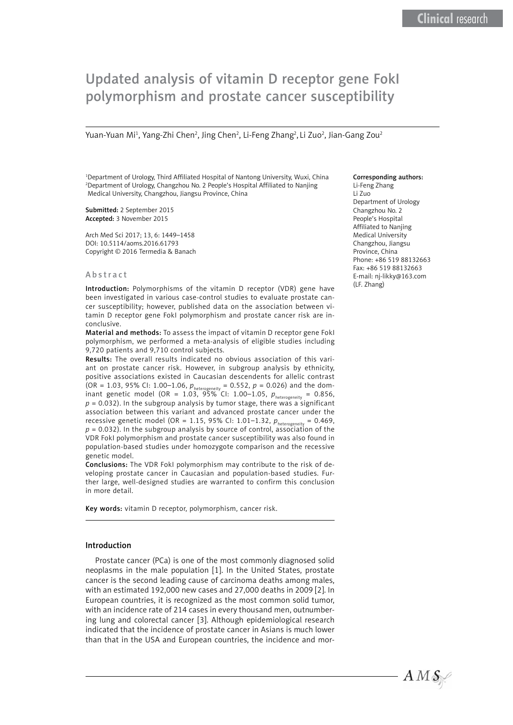# Updated analysis of vitamin D receptor gene FokI polymorphism and prostate cancer susceptibility

Yuan-Yuan Mi<sup>1</sup>, Yang-Zhi Chen<sup>2</sup>, Jing Chen<sup>2</sup>, Li-Feng Zhang<sup>2</sup>, Li Zuo<sup>2</sup>, Jian-Gang Zou<sup>2</sup>

1 Department of Urology, Third Affiliated Hospital of Nantong University, Wuxi, China 2 Department of Urology, Changzhou No. 2 People's Hospital Affiliated to Nanjing Medical University, Changzhou, Jiangsu Province, China

Submitted: 2 September 2015 Accepted: 3 November 2015

Arch Med Sci 2017; 13, 6: 1449–1458 DOI: 10.5114/aoms.2016.61793 Copyright © 2016 Termedia & Banach

#### Abstract

Introduction: Polymorphisms of the vitamin D receptor (VDR) gene have been investigated in various case-control studies to evaluate prostate cancer susceptibility; however, published data on the association between vitamin D receptor gene FokI polymorphism and prostate cancer risk are inconclusive.

Material and methods: To assess the impact of vitamin D receptor gene FokI polymorphism, we performed a meta-analysis of eligible studies including 9,720 patients and 9,710 control subjects.

Results: The overall results indicated no obvious association of this variant on prostate cancer risk. However, in subgroup analysis by ethnicity, positive associations existed in Caucasian descendents for allelic contrast (OR = 1.03, 95% CI: 1.00–1.06,  $p_{heterogeneity} = 0.552$ ,  $p = 0.026$ ) and the dominant genetic model (OR = 1.03, 95% CI: 1.00–1.05, *p*heterogeneity = 0.856,  $p = 0.032$ ). In the subgroup analysis by tumor stage, there was a significant association between this variant and advanced prostate cancer under the recessive genetic model (OR = 1.15, 95% CI: 1.01-1.32,  $p_{heterogeneity} = 0.469$ ,  $p = 0.032$ ). In the subgroup analysis by source of control, association of the VDR FokI polymorphism and prostate cancer susceptibility was also found in population-based studies under homozygote comparison and the recessive genetic model.

Conclusions: The VDR FokI polymorphism may contribute to the risk of developing prostate cancer in Caucasian and population-based studies. Further large, well-designed studies are warranted to confirm this conclusion in more detail.

Key words: vitamin D receptor, polymorphism, cancer risk.

## Introduction

Prostate cancer (PCa) is one of the most commonly diagnosed solid neoplasms in the male population [1]. In the United States, prostate cancer is the second leading cause of carcinoma deaths among males, with an estimated 192,000 new cases and 27,000 deaths in 2009 [2]. In European countries, it is recognized as the most common solid tumor, with an incidence rate of 214 cases in every thousand men, outnumbering lung and colorectal cancer [3]. Although epidemiological research indicated that the incidence of prostate cancer in Asians is much lower than that in the USA and European countries, the incidence and mor-

## Corresponding authors:

Li-Feng Zhang Li Zuo Department of Urology Changzhou No. 2 People's Hospital Affiliated to Nanjing Medical University Changzhou, Jiangsu Province, China Phone: +86 519 88132663 Fax: +86 519 88132663 E-mail: nj-likky@163.com (LF. Zhang)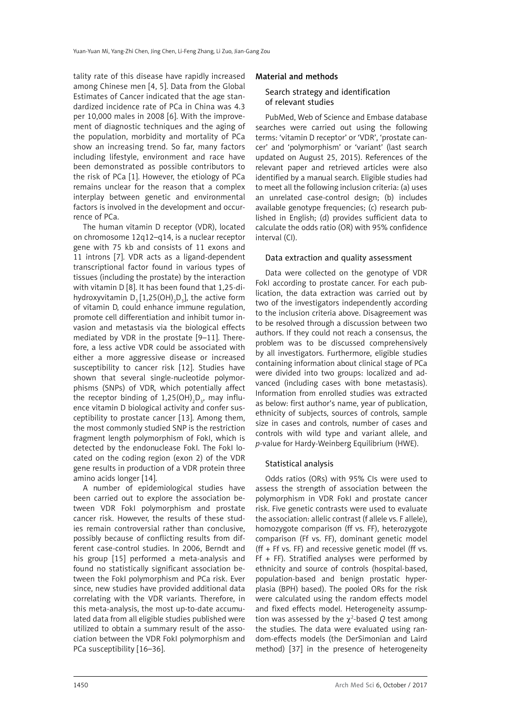tality rate of this disease have rapidly increased among Chinese men [4, 5]. Data from the Global Estimates of Cancer indicated that the age standardized incidence rate of PCa in China was 4.3 per 10,000 males in 2008 [6]. With the improvement of diagnostic techniques and the aging of the population, morbidity and mortality of PCa show an increasing trend. So far, many factors including lifestyle, environment and race have been demonstrated as possible contributors to the risk of PCa [1]. However, the etiology of PCa remains unclear for the reason that a complex interplay between genetic and environmental factors is involved in the development and occurrence of PCa.

The human vitamin D receptor (VDR), located on chromosome 12q12–q14, is a nuclear receptor gene with 75 kb and consists of 11 exons and 11 introns [7]. VDR acts as a ligand-dependent transcriptional factor found in various types of tissues (including the prostate) by the interaction with vitamin D [8]. It has been found that 1,25-dihydroxyvitamin D<sub>3</sub> [1,25(OH)<sub>2</sub>D<sub>3</sub>], the active form of vitamin D, could enhance immune regulation, promote cell differentiation and inhibit tumor invasion and metastasis via the biological effects mediated by VDR in the prostate [9–11]. Therefore, a less active VDR could be associated with either a more aggressive disease or increased susceptibility to cancer risk [12]. Studies have shown that several single-nucleotide polymorphisms (SNPs) of VDR, which potentially affect the receptor binding of 1,25(OH) $_{2}$ D $_{3}$ , may influence vitamin D biological activity and confer susceptibility to prostate cancer [13]. Among them, the most commonly studied SNP is the restriction fragment length polymorphism of FokI, which is detected by the endonuclease FokI. The FokI located on the coding region (exon 2) of the VDR gene results in production of a VDR protein three amino acids longer [14].

A number of epidemiological studies have been carried out to explore the association between VDR FokI polymorphism and prostate cancer risk. However, the results of these studies remain controversial rather than conclusive, possibly because of conflicting results from different case-control studies. In 2006, Berndt and his group [15] performed a meta-analysis and found no statistically significant association between the FokI polymorphism and PCa risk. Ever since, new studies have provided additional data correlating with the VDR variants. Therefore, in this meta-analysis, the most up-to-date accumulated data from all eligible studies published were utilized to obtain a summary result of the association between the VDR FokI polymorphism and PCa susceptibility [16–36].

# Material and methods

# Search strategy and identification of relevant studies

PubMed, Web of Science and Embase database searches were carried out using the following terms: 'vitamin D receptor' or 'VDR', 'prostate cancer' and 'polymorphism' or 'variant' (last search updated on August 25, 2015). References of the relevant paper and retrieved articles were also identified by a manual search. Eligible studies had to meet all the following inclusion criteria: (a) uses an unrelated case-control design; (b) includes available genotype frequencies; (c) research published in English; (d) provides sufficient data to calculate the odds ratio (OR) with 95% confidence interval (CI).

## Data extraction and quality assessment

Data were collected on the genotype of VDR FokI according to prostate cancer. For each publication, the data extraction was carried out by two of the investigators independently according to the inclusion criteria above. Disagreement was to be resolved through a discussion between two authors. If they could not reach a consensus, the problem was to be discussed comprehensively by all investigators. Furthermore, eligible studies containing information about clinical stage of PCa were divided into two groups: localized and advanced (including cases with bone metastasis). Information from enrolled studies was extracted as below: first author's name, year of publication, ethnicity of subjects, sources of controls, sample size in cases and controls, number of cases and controls with wild type and variant allele, and *p*-value for Hardy-Weinberg Equilibrium (HWE).

## Statistical analysis

Odds ratios (ORs) with 95% CIs were used to assess the strength of association between the polymorphism in VDR FokI and prostate cancer risk. Five genetic contrasts were used to evaluate the association: allelic contrast (f allele vs. F allele), homozygote comparison (ff vs. FF), heterozygote comparison (Ff vs. FF), dominant genetic model (ff + Ff vs. FF) and recessive genetic model (ff vs. Ff + FF). Stratified analyses were performed by ethnicity and source of controls (hospital-based, population-based and benign prostatic hyperplasia (BPH) based). The pooled ORs for the risk were calculated using the random effects model and fixed effects model. Heterogeneity assumption was assessed by the  $\chi^2$ -based Q test among the studies. The data were evaluated using random-effects models (the DerSimonian and Laird method) [37] in the presence of heterogeneity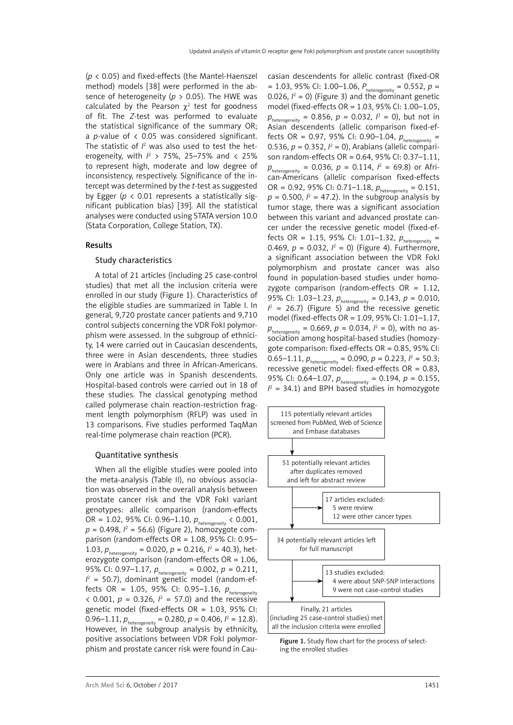(*p* < 0.05) and fixed-effects (the Mantel-Haenszel method) models [38] were performed in the absence of heterogeneity (*p* > 0.05). The HWE was calculated by the Pearson  $\chi^2$  test for goodness of fit. The *Z*-test was performed to evaluate the statistical significance of the summary OR; a *p-*value of < 0.05 was considered significant. The statistic of  $l^2$  was also used to test the heterogeneity, with *I*<sup>2</sup> > 75%, 25–75% and < 25% to represent high, moderate and low degree of inconsistency, respectively. Significance of the intercept was determined by the *t*-test as suggested by Egger ( $p < 0.01$  represents a statistically significant publication bias) [39]. All the statistical analyses were conducted using STATA version 10.0 (Stata Corporation, College Station, TX).

## Results

#### Study characteristics

A total of 21 articles (including 25 case-control studies) that met all the inclusion criteria were enrolled in our study (Figure 1). Characteristics of the eligible studies are summarized in Table I. In general, 9,720 prostate cancer patients and 9,710 control subjects concerning the VDR FokI polymorphism were assessed. In the subgroup of ethnicity, 14 were carried out in Caucasian descendents, three were in Asian descendents, three studies were in Arabians and three in African-Americans. Only one article was in Spanish descendents. Hospital-based controls were carried out in 18 of these studies. The classical genotyping method called polymerase chain reaction-restriction fragment length polymorphism (RFLP) was used in 13 comparisons. Five studies performed TaqMan real-time polymerase chain reaction (PCR).

## Quantitative synthesis

When all the eligible studies were pooled into the meta-analysis (Table II), no obvious association was observed in the overall analysis between prostate cancer risk and the VDR FokI variant genotypes: allelic comparison (random-effects OR = 1.02, 95% CI: 0.96-1.10,  $p_{heterogeneity}$  < 0.001, *p* = 0.498, *I* 2 = 56.6) (Figure 2), homozygote comparison (random-effects OR = 1.08, 95% CI: 0.95– 1.03,  $p_{heterogeneity} = 0.020$ ,  $p = 0.216$ ,  $l^2 = 40.3$ ), heterozygote comparison (random-effects OR = 1.06, 95% CI: 0.97–1.17,  $p_{heterogeneity} = 0.002$ ,  $p = 0.211$ ,  $I^2$  = 50.7), dominant genetic model (random-effects OR = 1.05, 95% CI: 0.95-1.16,  $p_{\text{heterogeneity}}$  $\langle 0.001, p = 0.326, l^2 = 57.0 \rangle$  and the recessive genetic model (fixed-effects OR = 1.03, 95% CI: 0.96–1.11,  $p_{heterogeneity} = 0.280$ ,  $p = 0.406$ ,  $l^2 = 12.8$ ). However, in the subgroup analysis by ethnicity, positive associations between VDR FokI polymorphism and prostate cancer risk were found in Caucasian descendents for allelic contrast (fixed-OR = 1.03, 95% CI: 1.00–1.06,  $P_{heterogeneity}$  = 0.552,  $p =$ 0.026,  $l^2 = 0$ ) (Figure 3) and the dominant genetic model (fixed-effects OR = 1.03, 95% CI: 1.00–1.05,  $p_{\text{heterogeneity}} = 0.856, p = 0.032, l^2 = 0$ , but not in Asian descendents (allelic comparison fixed-effects OR = 0.97, 95% CI: 0.90–1.04,  $p_{\text{heterogeneity}} =$ 0.536,  $p = 0.352$ ,  $l^2 = 0$ ), Arabians (allelic comparison random-effects OR = 0.64, 95% CI: 0.37–1.11,  $p_{\text{heterogeneity}} = 0.036, p = 0.114, l^2 = 69.8$  or African-Americans (allelic comparison fixed-effects OR = 0.92, 95% CI: 0.71–1.18,  $p_{heterogeneity} = 0.151$ ,  $p = 0.500$ ,  $l^2 = 47.2$ ). In the subgroup analysis by tumor stage, there was a significant association between this variant and advanced prostate cancer under the recessive genetic model (fixed-effects OR = 1.15, 95% CI: 1.01-1.32,  $p_{\text{heterogeneity}} =$ 0.469,  $p = 0.032$ ,  $l^2 = 0$ ) (Figure 4). Furthermore, a significant association between the VDR FokI polymorphism and prostate cancer was also found in population-based studies under homozygote comparison (random-effects  $OR = 1.12$ , 95% CI: 1.03–1.23,  $p_{heterogeneity} = 0.143$ ,  $p = 0.010$ ,  $I^2$  = 26.7) (Figure 5) and the recessive genetic model (fixed-effects OR = 1.09, 95% CI: 1.01–1.17,  $p_{\text{heterogeneity}} = 0.669, p = 0.034, l^2 = 0$ , with no association among hospital-based studies (homozygote comparison: fixed-effects OR = 0.85, 95% CI: 0.65–1.11,  $p_{heterogeneity} = 0.090$ ,  $p = 0.223$ ,  $l^2 = 50.3$ ; recessive genetic model: fixed-effects OR = 0.83, 95% CI: 0.64–1.07,  $p_{heterogeneity} = 0.194$ ,  $p = 0.155$ ,  $I^2$  = 34.1) and BPH based studies in homozygote



Figure 1. Study flow chart for the process of selecting the enrolled studies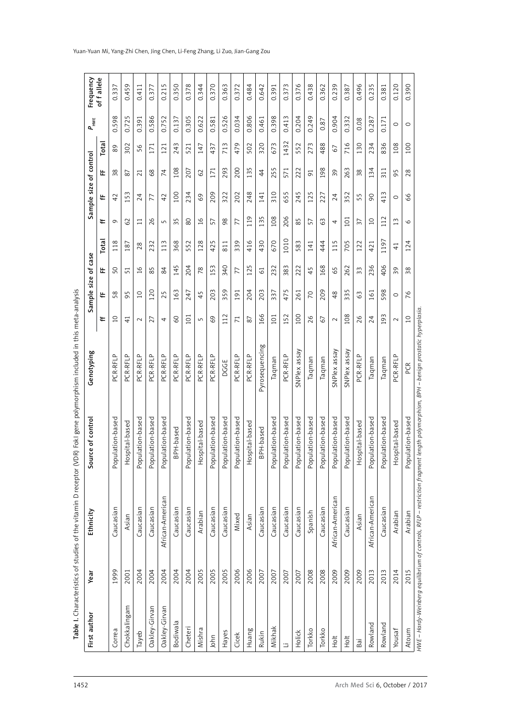| First author  | Year | Ethnicity        | ce of control<br>Sour | Genotyping     |                 |                | Sample size of case |                 |                 |          | Sample size of control |       | $P_{\text{\tiny HWE}}$ | Frequency  |
|---------------|------|------------------|-----------------------|----------------|-----------------|----------------|---------------------|-----------------|-----------------|----------|------------------------|-------|------------------------|------------|
|               |      |                  |                       |                | ⊭               | ₩              | 岀                   | Total           | ⊭               | ₩        | 岀                      | Total |                        | of fallele |
| Correa        | 1999 | Caucasian        | Population-based      | PCR-RFLP       | $\overline{a}$  | 58             | 50                  | 118             | $\sigma$        | 42       | 38                     | 89    | 0.598                  | 0.337      |
| Chokkalingam  | 2001 | Asian            | pital-based<br>Нos    | PCR-RFLP       | $\overline{4}$  | 95             | 51                  | 187             | 62              | 153      | 87                     | 302   | 0.725                  | 0.459      |
| Tayeb         | 2004 | Caucasian        | Population-based      | PCR-RFLP       | $\sim$          | $\overline{C}$ | 16                  | 28              | $\Box$          | 24       | 21                     | 56    | 0.391                  | 0.411      |
| Oakley-Girvan | 2004 | Caucasian        | lation-based<br>Popu  | PCR-RFLP       | 27              | 120            | 85                  | 232             | 26              | 77       | 68                     | 171   | 0.586                  | 0.377      |
| Oakley-Girvan | 2004 | African-American | Population-based      | PCR-RFLP       | 4               | 25             | 84                  | 113             | 5               | 42       | 74                     | 121   | 0.752                  | 0.215      |
| Bodiwala      | 2004 | Caucasian        | BPH-based             | PCR-RFLP       | SO              | 163            | 145                 | 368             | 35              | 100      | 108                    | 243   | 0.137                  | 0.350      |
| Cheteri       | 2004 | Caucasian        | Population-based      | PCR-RFLP       | 101             | 247            | 204                 | 552             | $80$            | 234      | 207                    | 521   | 0.305                  | 0.378      |
| Mishra        | 2005 | Arabian          | pital-based<br>Hos    | PCR-RFLP       | S               | 45             | 78                  | 128             | 16              | 69       | 62                     | 147   | 0.622                  | 0.344      |
| John          | 2005 | Caucasian        | Population-based      | PCR-RFLP       | 69              | 203            | 153                 | 425             | 57              | 209      | 171                    | 437   | 0.581                  | 0.370      |
| Hayes         | 2005 | Caucasian        | Population-based      | DGGE           | 112             | 359            | 340                 | 811             | 98              | 322      | 293                    | 713   | 0.526                  | 0.363      |
| Cicek         | 2006 | Mixed            | Population-based      | PCR-RFLP       | $\overline{71}$ | 191            | 77                  | 339             | 77              | 202      | 200                    | 479   | 0.034                  | 0.372      |
| Huang         | 2006 | Asian            | pital-based<br>Нos    | PCR-RFLP       | 87              | 204            | 125                 | 416             | 119             | 248      | 135                    | 502   | 0.806                  | 0.484      |
| Rukin         | 2007 | Caucasian        | BPH-based             | Pyrosequencing | 166             | 203            | $\overline{6}$      | 430             | 135             | 141      | 44                     | 320   | 0.461                  | 0.642      |
| Mikhak        | 2007 | Caucasian        | Population-based      | Taqman         | 101             | 337            | 232                 | 670             | 108             | 310      | 255                    | 673   | 0.398                  | 0.391      |
| 口             | 2007 | Caucasian        | Population-based      | PCR-RFLP       | 152             | 475            | 383                 | 1010            | 206             | 655      | 571                    | 1432  | 0.413                  | 0.373      |
| Holick        | 2007 | Caucasian        | Population-based      | SNPlex assay   | 100             | 261            | 222                 | 583             | 85              | 245      | 222                    | 552   | 0.204                  | 0.376      |
| Torkko        | 2008 | Spanish          | Population-based      | Taqman         | 26              | 70             | 45                  | 141             | 57              | 125      | $\overline{91}$        | 273   | 0.249                  | 0.438      |
| Torkko        | 2008 | Caucasian        | Population-based      | Taqman         | 67              | 209            | 168                 | 444             | 63              | 227      | 198                    | 488   | 0.87                   | 0.362      |
| $\frac{1}{2}$ | 2009 | African-American | lation-based<br>Popu  | SNPlex assay   | $\sim$          | 48             | 65                  | 115             | 4               | 24       | 39                     | 67    | 0.904                  | 0.239      |
| Hot           | 2009 | Caucasian        | Population-based      | SNPlex assay   | 108             | 335            | 262                 | 705             | 101             | 352      | 263                    | 716   | 0.332                  | 0.387      |
| Bai           | 2009 | Asian            | pital-based<br>Hos    | PCR-RFLP       | 26              | 63             | 33                  | 122             | 37              | 55       | 38                     | 130   | 0.08                   | 0.496      |
| Rowland       | 2013 | African-American | Population-based      | Taqman         | 24              | 161            | 236                 | 421             | $\overline{10}$ | $\infty$ | 134                    | 234   | 0.287                  | 0.235      |
| Rowland       | 2013 | Caucasian        | Population-based      | Taqman         | 93              | 598            | 406                 | 1197            | 112             | 413      | 311                    | 836   | 0.171                  | 0.381      |
| Yousaf        | 2014 | Arabian          | pital-based<br>ŠСН    | PCR-RFLP       | $\sim$          | $\circ$        | 39                  | $\overline{41}$ | 13              | $\circ$  | 95                     | 108   | $\circ$                | 0.120      |
| Atoum         | 2015 | Arabian          | Population-based      | PCR            | 10              | 76             | 38                  | 124             | $\circ$         | 66       | 28                     | 100   | $\circ$                | 0.390      |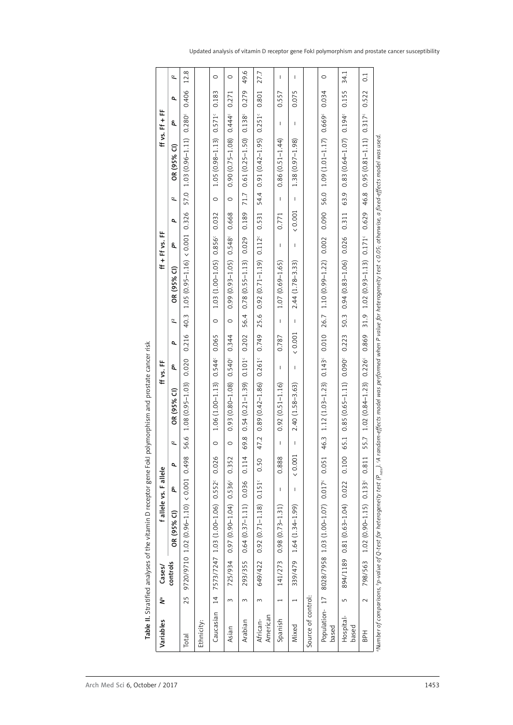| $1.12(1.03 - 1.23)$<br>$0.89(0.42 - 1.86)$<br>$0.85(0.65 - 1.11)$<br>$(0.95 - 1.03)$<br>$1.06(1.00 - 1.13)$<br>0.93 (0.80-1.08)<br>$0.54(0.21 - 1.39)$<br>$2.40(1.58 - 3.63)$<br>$0.92(0.51 - 1.16)$<br>OR (95% CI)<br>1.08<br>56.6<br>46.3<br>69.8<br>47.2<br>65.1<br>$\tilde{a}$<br>$\circ$<br>$\circ$<br>$\mathsf{I}$<br>L<br>(0.001)<br>0.026<br>0.888<br>0.498<br>0.352<br>0.114<br>0.100<br>0.051<br>0.50<br>σ<br>(0.001)<br>0.017 <sup>c</sup><br>$0.552^{c}$<br>0.536c<br>$0.151^c$<br>0.036<br>0.022<br>å<br>$\mathbf{I}$<br>T<br>9720/9710 1.02 (0.96-1.10)<br>$0.97(0.90 - 1.04)$<br>8028/7958 1.03 (1.00-1.07)<br>$0.81(0.63 - 1.04)$<br>$1.03(1.00 - 1.06)$<br>$0.92(0.71 - 1.18)$<br>$0.64(0.37 - 1.11)$<br>$0.98(0.73 - 1.31)$<br>$1.64(1.34 - 1.99)$<br>OR (95% CI) | $ff + ff$ vs. FF<br>ff vs. FF | $\tilde{a}$<br>σ<br>å<br>OR (95% CI)<br>2<br>σ<br>å | 57.0<br>0.326<br>(0.001)<br>$1.05(0.95 - 1.16)$<br>40.3<br>0.216<br>0.020 | $\circ$<br>0.032<br>0.856c<br>$(1.00 - 1.05)$<br>1.03<br>$\circ$<br>0.065<br>$0.544^{\circ}$ | $\circ$<br>0.668<br>0.548c<br>$(0.93 - 1.05)$<br>0.99<br>$\circ$<br>0.344<br>0.540 <sup>c</sup> | 71.7<br>0.189<br>0.029<br>$(0.55 - 1.13)$<br>0.78<br>56.4<br>0.202<br>$0.101^\circ$ | 54.4<br>0.531<br>0.112<br>$(0.71 - 1.19)$<br>0.92<br>25.6<br>0.749<br>$0.261$ <sup>c</sup> | $\mathbf{I}$<br>0.771<br>$\mathbf{I}$<br>$(0.69 - 1.65)$<br>1.07<br>$\mathbf{I}$<br>0.787<br>$\mathbf{I}$ | T<br>(0.001)<br>T<br>$2.44(1.78-3.33)$<br>T<br>(0.001)<br>T | 56.0<br>0.090<br>0.002<br>$1.10(0.99 - 1.22)$<br>26.7<br>0.010<br>0.143 | 63.9<br>0.311<br>0.026<br>$(0.83 - 1.06)$<br>0.94<br>50.3<br>0.223<br>0.090 |         |
|-------------------------------------------------------------------------------------------------------------------------------------------------------------------------------------------------------------------------------------------------------------------------------------------------------------------------------------------------------------------------------------------------------------------------------------------------------------------------------------------------------------------------------------------------------------------------------------------------------------------------------------------------------------------------------------------------------------------------------------------------------------------------------------|-------------------------------|-----------------------------------------------------|---------------------------------------------------------------------------|----------------------------------------------------------------------------------------------|-------------------------------------------------------------------------------------------------|-------------------------------------------------------------------------------------|--------------------------------------------------------------------------------------------|-----------------------------------------------------------------------------------------------------------|-------------------------------------------------------------|-------------------------------------------------------------------------|-----------------------------------------------------------------------------|---------|
|                                                                                                                                                                                                                                                                                                                                                                                                                                                                                                                                                                                                                                                                                                                                                                                     |                               |                                                     |                                                                           |                                                                                              |                                                                                                 |                                                                                     |                                                                                            |                                                                                                           |                                                             |                                                                         |                                                                             |         |
|                                                                                                                                                                                                                                                                                                                                                                                                                                                                                                                                                                                                                                                                                                                                                                                     | fallele vs. Fallele           |                                                     |                                                                           |                                                                                              |                                                                                                 |                                                                                     |                                                                                            |                                                                                                           |                                                             |                                                                         |                                                                             |         |
|                                                                                                                                                                                                                                                                                                                                                                                                                                                                                                                                                                                                                                                                                                                                                                                     | Cases/                        | controls                                            |                                                                           | 7573/7247                                                                                    | 725/934                                                                                         | 293/355                                                                             | 649/422                                                                                    | 141/273                                                                                                   | 339/479                                                     |                                                                         | 894/1189                                                                    | 798/563 |
| Source of control:<br>25<br>$\overline{1}$<br>$\overline{17}$<br>چ<br>$\sim$<br>$\sim$<br>$\mathsf{L}\cap$<br>$\sim$<br>$\overline{\phantom{0}}$<br>$\overline{\phantom{0}}$<br>Population-<br>Caucasian<br>American<br>Hospital-<br>Spanish                                                                                                                                                                                                                                                                                                                                                                                                                                                                                                                                        |                               |                                                     |                                                                           |                                                                                              |                                                                                                 |                                                                                     |                                                                                            |                                                                                                           |                                                             |                                                                         |                                                                             |         |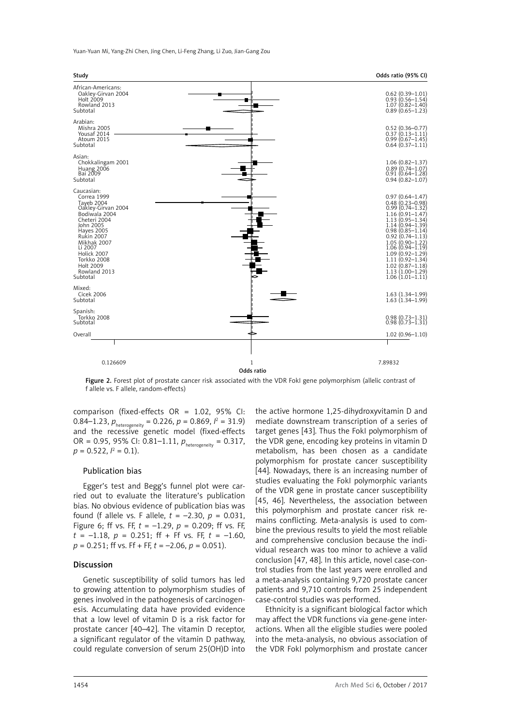Yuan-Yuan Mi, Yang-Zhi Chen, Jing Chen, Li-Feng Zhang, Li Zuo, Jian-Gang Zou



Figure 2. Forest plot of prostate cancer risk associated with the VDR FokI gene polymorphism (allelic contrast of f allele vs. F allele, random-effects)

comparison (fixed-effects OR = 1.02, 95% CI: 0.84–1.23,  $p_{heterogeneity} = 0.226$ ,  $p = 0.869$ ,  $l^2 = 31.9$ ) and the recessive genetic model (fixed-effects OR = 0.95, 95% CI: 0.81–1.11,  $p_{heterogeneity} = 0.317$ ,  $p = 0.522, l^2 = 0.1$ ).

#### Publication bias

Egger's test and Begg's funnel plot were carried out to evaluate the literature's publication bias. No obvious evidence of publication bias was found (f allele vs. F allele,  $t = -2.30$ ,  $p = 0.031$ , Figure 6; ff vs. FF, *t* = –1.29, *p* = 0.209; ff vs. FF,  $t = -1.18$ ,  $p = 0.251$ ; ff + Ff vs. FF,  $t = -1.60$ , *p* = 0.251; ff vs. Ff + FF, *t* = –2.06, *p* = 0.051).

## Discussion

Genetic susceptibility of solid tumors has led to growing attention to polymorphism studies of genes involved in the pathogenesis of carcinogenesis. Accumulating data have provided evidence that a low level of vitamin D is a risk factor for prostate cancer [40–42]. The vitamin D receptor, a significant regulator of the vitamin D pathway, could regulate conversion of serum 25(OH)D into the active hormone 1,25-dihydroxyvitamin D and mediate downstream transcription of a series of target genes [43]. Thus the FokI polymorphism of the VDR gene, encoding key proteins in vitamin D metabolism, has been chosen as a candidate polymorphism for prostate cancer susceptibility [44]. Nowadays, there is an increasing number of studies evaluating the FokI polymorphic variants of the VDR gene in prostate cancer susceptibility [45, 46]. Nevertheless, the association between this polymorphism and prostate cancer risk remains conflicting. Meta-analysis is used to combine the previous results to yield the most reliable and comprehensive conclusion because the individual research was too minor to achieve a valid conclusion [47, 48]. In this article, novel case-control studies from the last years were enrolled and a meta-analysis containing 9,720 prostate cancer patients and 9,710 controls from 25 independent case-control studies was performed.

Ethnicity is a significant biological factor which may affect the VDR functions via gene-gene interactions. When all the eligible studies were pooled into the meta-analysis, no obvious association of the VDR FokI polymorphism and prostate cancer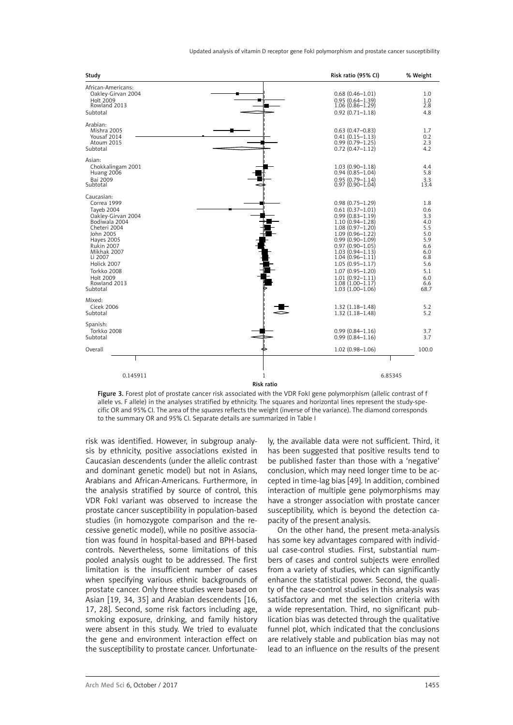| Study                                                                                                                                                                                                                                                  | Risk ratio (95% CI)                                                                                                                                                                                                                                                                                                                               | % Weight                                                                                               |
|--------------------------------------------------------------------------------------------------------------------------------------------------------------------------------------------------------------------------------------------------------|---------------------------------------------------------------------------------------------------------------------------------------------------------------------------------------------------------------------------------------------------------------------------------------------------------------------------------------------------|--------------------------------------------------------------------------------------------------------|
| African-Americans:<br>Oakley-Girvan 2004<br>Holt 2009<br>Rowland 2013<br>Subtotal                                                                                                                                                                      | $0.68(0.46 - 1.01)$<br>$0.95(0.64 - 1.39)$<br>$1.06(0.86 - 1.29)$<br>$0.92(0.71 - 1.18)$                                                                                                                                                                                                                                                          | 1.0<br>1.0<br>2.8<br>4.8                                                                               |
| Arabian:<br>Mishra 2005<br>Yousaf 2014<br>Atoum 2015<br>Subtotal                                                                                                                                                                                       | $0.63(0.47-0.83)$<br>$0.41(0.15 - 1.13)$<br>$0.99(0.79 - 1.25)$<br>$0.72(0.47 - 1.12)$                                                                                                                                                                                                                                                            | 1.7<br>0.2<br>2.3<br>4.2                                                                               |
| Asian:<br>Chokkalingam 2001<br>Huang 2006<br>Bai 2009<br>Subtotal                                                                                                                                                                                      | $1.03(0.90 - 1.18)$<br>$0.94(0.85 - 1.04)$<br>$0.95(0.79 - 1.14)$<br>$0.97(0.90 - 1.04)$                                                                                                                                                                                                                                                          | 4.4<br>5.8<br>3.3<br>13.4                                                                              |
| Caucasian:<br>Correa 1999<br>Taveb 2004<br>Oakley-Girvan 2004<br>Bodiwala 2004<br>Cheteri 2004<br>John 2005<br><b>Hayes 2005</b><br><b>Rukin 2007</b><br>Mikhak 2007<br>Li 2007<br>Holick 2007<br>Torkko 2008<br>Holt 2009<br>Rowland 2013<br>Subtotal | $0.98(0.75 - 1.29)$<br>$0.61(0.37 - 1.01)$<br>$0.99(0.83 - 1.19)$<br>$1.10(0.94 - 1.28)$<br>$1.08(0.97 - 1.20)$<br>$1.09(0.96 - 1.22)$<br>$0.99(0.90 - 1.09)$<br>$0.97(0.90 - 1.05)$<br>$1.03(0.94 - 1.13)$<br>$1.04(0.96 - 1.11)$<br>$1.05(0.95 - 1.17)$<br>$1.07(0.95 - 1.20)$<br>$1.01(0.92 - 1.11)$<br>$1.08(1.00-1.17)$<br>$1.03(1.00-1.06)$ | 1.8<br>0.6<br>3.3<br>4.0<br>5.5<br>5.0<br>5.9<br>6.6<br>6.0<br>6.8<br>5.6<br>5.1<br>6.0<br>6.6<br>68.7 |
| Mixed:<br><b>Cicek 2006</b><br>Subtotal                                                                                                                                                                                                                | $1.32(1.18 - 1.48)$<br>$1.32(1.18 - 1.48)$                                                                                                                                                                                                                                                                                                        | 5.2<br>5.2                                                                                             |
| Spanish:<br>Torkko 2008<br>Subtotal                                                                                                                                                                                                                    | $0.99(0.84 - 1.16)$<br>$0.99(0.84 - 1.16)$                                                                                                                                                                                                                                                                                                        | 3.7<br>3.7                                                                                             |
| Overall                                                                                                                                                                                                                                                | $1.02(0.98 - 1.06)$                                                                                                                                                                                                                                                                                                                               | 100.0                                                                                                  |
| 0.145911                                                                                                                                                                                                                                               | 1<br>Risk ratio                                                                                                                                                                                                                                                                                                                                   | 6.85345                                                                                                |

Figure 3. Forest plot of prostate cancer risk associated with the VDR FokI gene polymorphism (allelic contrast of f allele vs. F allele) in the analyses stratified by ethnicity. The squares and horizontal lines represent the study-specific OR and 95% CI. The area of the *squares* reflects the weight (inverse of the variance). The diamond corresponds to the summary OR and 95% CI. Separate details are summarized in Table I

risk was identified. However, in subgroup analysis by ethnicity, positive associations existed in Caucasian descendents (under the allelic contrast and dominant genetic model) but not in Asians, Arabians and African-Americans. Furthermore, in the analysis stratified by source of control, this VDR FokI variant was observed to increase the prostate cancer susceptibility in population-based studies (in homozygote comparison and the recessive genetic model), while no positive association was found in hospital-based and BPH-based controls. Nevertheless, some limitations of this pooled analysis ought to be addressed. The first limitation is the insufficient number of cases when specifying various ethnic backgrounds of prostate cancer. Only three studies were based on Asian [19, 34, 35] and Arabian descendents [16, 17, 28]. Second, some risk factors including age, smoking exposure, drinking, and family history were absent in this study. We tried to evaluate the gene and environment interaction effect on the susceptibility to prostate cancer. Unfortunate-

ly, the available data were not sufficient. Third, it has been suggested that positive results tend to be published faster than those with a 'negative' conclusion, which may need longer time to be accepted in time-lag bias [49]. In addition, combined interaction of multiple gene polymorphisms may have a stronger association with prostate cancer susceptibility, which is beyond the detection capacity of the present analysis.

On the other hand, the present meta-analysis has some key advantages compared with individual case-control studies. First, substantial numbers of cases and control subjects were enrolled from a variety of studies, which can significantly enhance the statistical power. Second, the quality of the case-control studies in this analysis was satisfactory and met the selection criteria with a wide representation. Third, no significant publication bias was detected through the qualitative funnel plot, which indicated that the conclusions are relatively stable and publication bias may not lead to an influence on the results of the present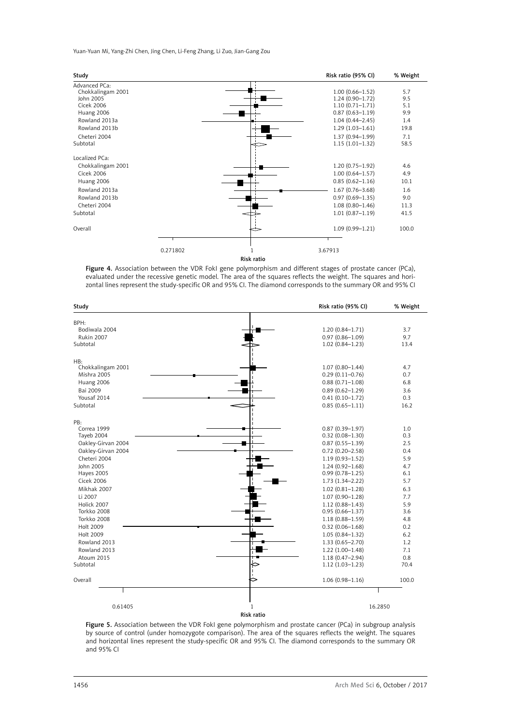Yuan-Yuan Mi, Yang-Zhi Chen, Jing Chen, Li-Feng Zhang, Li Zuo, Jian-Gang Zou

| Study                                                                                                                                            |          |            | Risk ratio (95% CI)                                                                                                                                                                | % Weight                                               |
|--------------------------------------------------------------------------------------------------------------------------------------------------|----------|------------|------------------------------------------------------------------------------------------------------------------------------------------------------------------------------------|--------------------------------------------------------|
| Advanced PCa:<br>Chokkalingam 2001<br>John 2005<br><b>Cicek 2006</b><br>Huang 2006<br>Rowland 2013a<br>Rowland 2013b<br>Cheteri 2004<br>Subtotal |          |            | $1.00(0.66 - 1.52)$<br>$1.24(0.90 - 1.72)$<br>$1.10(0.71 - 1.71)$<br>$0.87(0.63 - 1.19)$<br>$1.04(0.44 - 2.45)$<br>$1.29(1.03 - 1.61)$<br>$1.37(0.94 - 1.99)$<br>$1.15(1.01-1.32)$ | 5.7<br>9.5<br>5.1<br>9.9<br>1.4<br>19.8<br>7.1<br>58.5 |
| Localized PCa:<br>Chokkalingam 2001<br><b>Cicek 2006</b><br>Huang 2006<br>Rowland 2013a<br>Rowland 2013b<br>Cheteri 2004<br>Subtotal             |          |            | $1.20(0.75 - 1.92)$<br>$1.00(0.64 - 1.57)$<br>$0.85(0.62 - 1.16)$<br>$1.67(0.76 - 3.68)$<br>$0.97(0.69 - 1.35)$<br>$1.08(0.80 - 1.46)$<br>$1.01(0.87 - 1.19)$                      | 4.6<br>4.9<br>10.1<br>1.6<br>9.0<br>11.3<br>41.5       |
| Overall                                                                                                                                          |          |            | $1.09(0.99 - 1.21)$                                                                                                                                                                | 100.0                                                  |
|                                                                                                                                                  | 0.271802 |            | 3.67913                                                                                                                                                                            |                                                        |
|                                                                                                                                                  |          | Risk ratio |                                                                                                                                                                                    |                                                        |

Figure 4. Association between the VDR FokI gene polymorphism and different stages of prostate cancer (PCa), evaluated under the recessive genetic model. The area of the squares reflects the weight. The squares and horizontal lines represent the study-specific OR and 95% CI. The diamond corresponds to the summary OR and 95% CI

| Study              | Risk ratio (95% CI) | % Weight |
|--------------------|---------------------|----------|
| BPH:               |                     |          |
| Bodiwala 2004      | $1.20(0.84 - 1.71)$ | 3.7      |
| <b>Rukin 2007</b>  | $0.97(0.86 - 1.09)$ | 9.7      |
| Subtotal           | $1.02(0.84 - 1.23)$ | 13.4     |
| HB:                |                     |          |
| Chokkalingam 2001  | $1.07(0.80 - 1.44)$ | 4.7      |
| Mishra 2005        | $0.29(0.11 - 0.76)$ | 0.7      |
| Huang 2006         | $0.88(0.71 - 1.08)$ | 6.8      |
| Bai 2009           | $0.89(0.62 - 1.29)$ | 3.6      |
| Yousaf 2014        | $0.41(0.10-1.72)$   | 0.3      |
| Subtotal           | $0.85(0.65 - 1.11)$ | 16.2     |
| PB:                |                     |          |
| Correa 1999        | $0.87(0.39 - 1.97)$ | 1.0      |
| Tayeb 2004         | $0.32(0.08 - 1.30)$ | 0.3      |
| Oakley-Girvan 2004 | $0.87(0.55 - 1.39)$ | 2.5      |
| Oakley-Girvan 2004 | $0.72(0.20 - 2.58)$ | 0.4      |
| Cheteri 2004       | $1.19(0.93 - 1.52)$ | 5.9      |
| John 2005          | $1.24(0.92 - 1.68)$ | 4.7      |
| <b>Hayes 2005</b>  | $0.99(0.78 - 1.25)$ | 6.1      |
| <b>Cicek 2006</b>  | $1.73(1.34 - 2.22)$ | 5.7      |
| Mikhak 2007        | $1.02(0.81 - 1.28)$ | 6.3      |
| Li 2007            | $1.07(0.90 - 1.28)$ | 7.7      |
| Holick 2007        | $1.12(0.88 - 1.43)$ | 5.9      |
| Torkko 2008        | $0.95(0.66 - 1.37)$ | 3.6      |
| Torkko 2008        | $1.18(0.88 - 1.59)$ | 4.8      |
| Holt 2009          | $0.32(0.06 - 1.68)$ | 0.2      |
| Holt 2009          | $1.05(0.84 - 1.32)$ | 6.2      |
| Rowland 2013       | 1.33 (0.65-2.70)    | 1.2      |
| Rowland 2013       | $1.22(1.00-1.48)$   | 7.1      |
| Atoum 2015         | $1.18(0.47 - 2.94)$ | 0.8      |
| Subtotal           | $1.12(1.03 - 1.23)$ | 70.4     |
| Overall            | $1.06(0.98 - 1.16)$ | 100.0    |
|                    |                     |          |
| 0.61405            | 1                   | 16.2850  |
|                    | Risk ratio          |          |
|                    |                     |          |

Figure 5. Association between the VDR FokI gene polymorphism and prostate cancer (PCa) in subgroup analysis by source of control (under homozygote comparison). The area of the squares reflects the weight. The squares and horizontal lines represent the study-specific OR and 95% CI. The diamond corresponds to the summary OR and 95% CI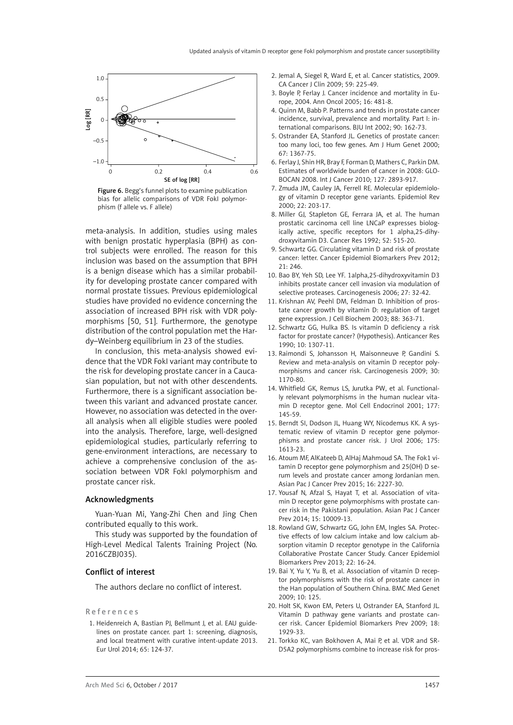

Figure 6. Begg's funnel plots to examine publication bias for allelic comparisons of VDR FokI polymorphism (f allele vs. F allele)

meta-analysis. In addition, studies using males with benign prostatic hyperplasia (BPH) as control subjects were enrolled. The reason for this inclusion was based on the assumption that BPH is a benign disease which has a similar probability for developing prostate cancer compared with normal prostate tissues. Previous epidemiological studies have provided no evidence concerning the association of increased BPH risk with VDR polymorphisms [50, 51]. Furthermore, the genotype distribution of the control population met the Hardy–Weinberg equilibrium in 23 of the studies.

In conclusion, this meta-analysis showed evidence that the VDR FokI variant may contribute to the risk for developing prostate cancer in a Caucasian population, but not with other descendents. Furthermore, there is a significant association between this variant and advanced prostate cancer. However, no association was detected in the overall analysis when all eligible studies were pooled into the analysis. Therefore, large, well-designed epidemiological studies, particularly referring to gene-environment interactions, are necessary to achieve a comprehensive conclusion of the association between VDR FokI polymorphism and prostate cancer risk.

#### Acknowledgments

Yuan-Yuan Mi, Yang-Zhi Chen and Jing Chen contributed equally to this work.

This study was supported by the foundation of High-Level Medical Talents Training Project (No. 2016CZBJ035).

#### Conflict of interest

The authors declare no conflict of interest.

#### References

1. Heidenreich A, Bastian PJ, Bellmunt J, et al. EAU guidelines on prostate cancer. part 1: screening, diagnosis, and local treatment with curative intent-update 2013. Eur Urol 2014; 65: 124-37.

- 2. Jemal A, Siegel R, Ward E, et al. Cancer statistics, 2009. CA Cancer J Clin 2009; 59: 225-49.
- 3. Boyle P, Ferlay J. Cancer incidence and mortality in Europe, 2004. Ann Oncol 2005; 16: 481-8.
- 4. Quinn M, Babb P. Patterns and trends in prostate cancer incidence, survival, prevalence and mortality. Part I: international comparisons. BJU Int 2002; 90: 162-73.
- 5. Ostrander EA, Stanford JL. Genetics of prostate cancer: too many loci, too few genes. Am J Hum Genet 2000; 67: 1367-75.
- 6. Ferlay J, Shin HR, Bray F, Forman D, Mathers C, Parkin DM. Estimates of worldwide burden of cancer in 2008: GLO-BOCAN 2008. Int J Cancer 2010; 127: 2893-917.
- 7. Zmuda JM, Cauley JA, Ferrell RE. Molecular epidemiology of vitamin D receptor gene variants. Epidemiol Rev 2000; 22: 203-17.
- 8. Miller GJ, Stapleton GE, Ferrara JA, et al. The human prostatic carcinoma cell line LNCaP expresses biologically active, specific receptors for 1 alpha,25-dihydroxyvitamin D3. Cancer Res 1992; 52: 515-20.
- 9. Schwartz GG. Circulating vitamin D and risk of prostate cancer: letter. Cancer Epidemiol Biomarkers Prev 2012; 21: 246.
- 10. Bao BY, Yeh SD, Lee YF. 1alpha,25-dihydroxyvitamin D3 inhibits prostate cancer cell invasion via modulation of selective proteases. Carcinogenesis 2006; 27: 32-42.
- 11. Krishnan AV, Peehl DM, Feldman D. Inhibition of prostate cancer growth by vitamin D: regulation of target gene expression. J Cell Biochem 2003; 88: 363-71.
- 12. Schwartz GG, Hulka BS. Is vitamin D deficiency a risk factor for prostate cancer? (Hypothesis). Anticancer Res 1990; 10: 1307-11.
- 13. Raimondi S, Johansson H, Maisonneuve P, Gandini S. Review and meta-analysis on vitamin D receptor polymorphisms and cancer risk. Carcinogenesis 2009; 30: 1170-80.
- 14. Whitfield GK, Remus LS, Jurutka PW, et al. Functionally relevant polymorphisms in the human nuclear vitamin D receptor gene. Mol Cell Endocrinol 2001; 177: 145-59.
- 15. Berndt SI, Dodson JL, Huang WY, Nicodemus KK. A systematic review of vitamin D receptor gene polymorphisms and prostate cancer risk. J Urol 2006; 175: 1613-23.
- 16. Atoum MF, AlKateeb D, AlHaj Mahmoud SA. The Fok1 vitamin D receptor gene polymorphism and 25(OH) D serum levels and prostate cancer among Jordanian men. Asian Pac J Cancer Prev 2015; 16: 2227-30.
- 17. Yousaf N, Afzal S, Hayat T, et al. Association of vitamin D receptor gene polymorphisms with prostate cancer risk in the Pakistani population. Asian Pac J Cancer Prev 2014; 15: 10009-13.
- 18. Rowland GW, Schwartz GG, John EM, Ingles SA. Protective effects of low calcium intake and low calcium absorption vitamin D receptor genotype in the California Collaborative Prostate Cancer Study. Cancer Epidemiol Biomarkers Prev 2013; 22: 16-24.
- 19. Bai Y, Yu Y, Yu B, et al. Association of vitamin D receptor polymorphisms with the risk of prostate cancer in the Han population of Southern China. BMC Med Genet 2009; 10: 125.
- 20. Holt SK, Kwon EM, Peters U, Ostrander EA, Stanford JL. Vitamin D pathway gene variants and prostate cancer risk. Cancer Epidemiol Biomarkers Prev 2009; 18: 1929-33.
- 21. Torkko KC, van Bokhoven A, Mai P, et al. VDR and SR-D5A2 polymorphisms combine to increase risk for pros-